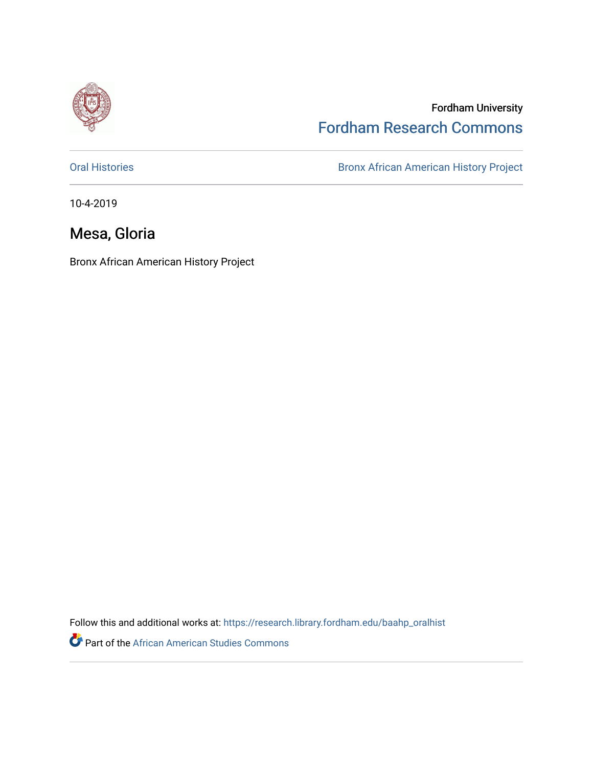

## Fordham University [Fordham Research Commons](https://research.library.fordham.edu/)

[Oral Histories](https://research.library.fordham.edu/baahp_oralhist) **Bronx African American History Project** Bronx African American History Project

10-4-2019

## Mesa, Gloria

Bronx African American History Project

Follow this and additional works at: [https://research.library.fordham.edu/baahp\\_oralhist](https://research.library.fordham.edu/baahp_oralhist?utm_source=research.library.fordham.edu%2Fbaahp_oralhist%2F337&utm_medium=PDF&utm_campaign=PDFCoverPages)

Part of the [African American Studies Commons](http://network.bepress.com/hgg/discipline/567?utm_source=research.library.fordham.edu%2Fbaahp_oralhist%2F337&utm_medium=PDF&utm_campaign=PDFCoverPages)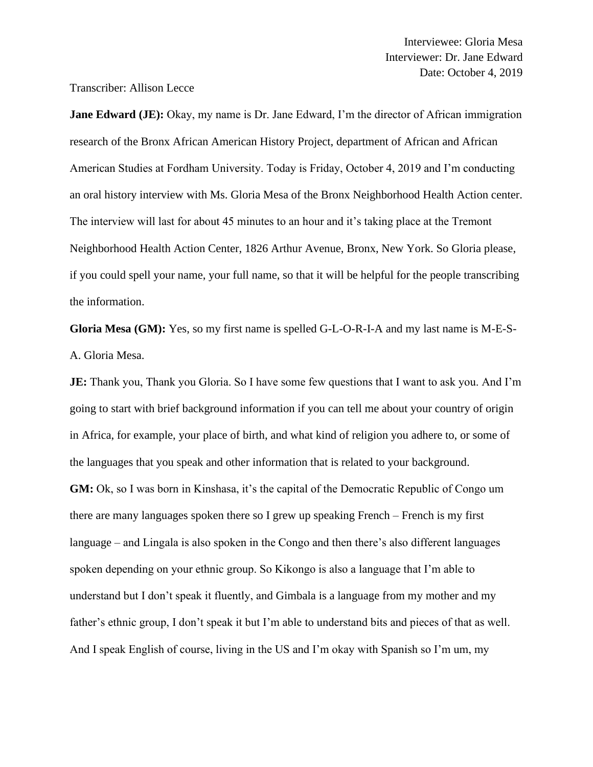Transcriber: Allison Lecce

**Jane Edward (JE):** Okay, my name is Dr. Jane Edward, I'm the director of African immigration research of the Bronx African American History Project, department of African and African American Studies at Fordham University. Today is Friday, October 4, 2019 and I'm conducting an oral history interview with Ms. Gloria Mesa of the Bronx Neighborhood Health Action center. The interview will last for about 45 minutes to an hour and it's taking place at the Tremont Neighborhood Health Action Center, 1826 Arthur Avenue, Bronx, New York. So Gloria please, if you could spell your name, your full name, so that it will be helpful for the people transcribing the information.

**Gloria Mesa (GM):** Yes, so my first name is spelled G-L-O-R-I-A and my last name is M-E-S-A. Gloria Mesa.

**JE:** Thank you, Thank you Gloria. So I have some few questions that I want to ask you. And I'm going to start with brief background information if you can tell me about your country of origin in Africa, for example, your place of birth, and what kind of religion you adhere to, or some of the languages that you speak and other information that is related to your background. **GM:** Ok, so I was born in Kinshasa, it's the capital of the Democratic Republic of Congo um there are many languages spoken there so I grew up speaking French – French is my first language – and Lingala is also spoken in the Congo and then there's also different languages spoken depending on your ethnic group. So Kikongo is also a language that I'm able to understand but I don't speak it fluently, and Gimbala is a language from my mother and my father's ethnic group, I don't speak it but I'm able to understand bits and pieces of that as well. And I speak English of course, living in the US and I'm okay with Spanish so I'm um, my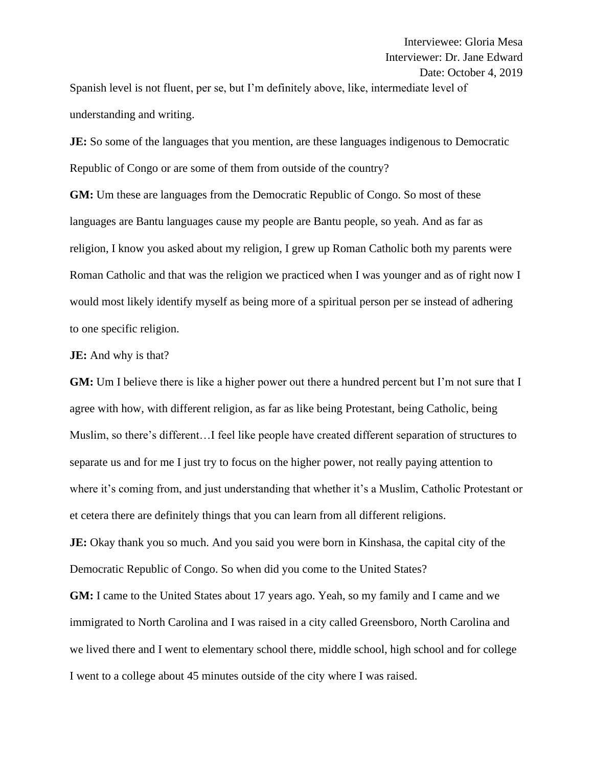Spanish level is not fluent, per se, but I'm definitely above, like, intermediate level of understanding and writing.

**JE:** So some of the languages that you mention, are these languages indigenous to Democratic Republic of Congo or are some of them from outside of the country?

**GM:** Um these are languages from the Democratic Republic of Congo. So most of these languages are Bantu languages cause my people are Bantu people, so yeah. And as far as religion, I know you asked about my religion, I grew up Roman Catholic both my parents were Roman Catholic and that was the religion we practiced when I was younger and as of right now I would most likely identify myself as being more of a spiritual person per se instead of adhering to one specific religion.

## **JE:** And why is that?

**GM:** Um I believe there is like a higher power out there a hundred percent but I'm not sure that I agree with how, with different religion, as far as like being Protestant, being Catholic, being Muslim, so there's different…I feel like people have created different separation of structures to separate us and for me I just try to focus on the higher power, not really paying attention to where it's coming from, and just understanding that whether it's a Muslim, Catholic Protestant or et cetera there are definitely things that you can learn from all different religions.

**JE:** Okay thank you so much. And you said you were born in Kinshasa, the capital city of the Democratic Republic of Congo. So when did you come to the United States?

**GM:** I came to the United States about 17 years ago. Yeah, so my family and I came and we immigrated to North Carolina and I was raised in a city called Greensboro, North Carolina and we lived there and I went to elementary school there, middle school, high school and for college I went to a college about 45 minutes outside of the city where I was raised.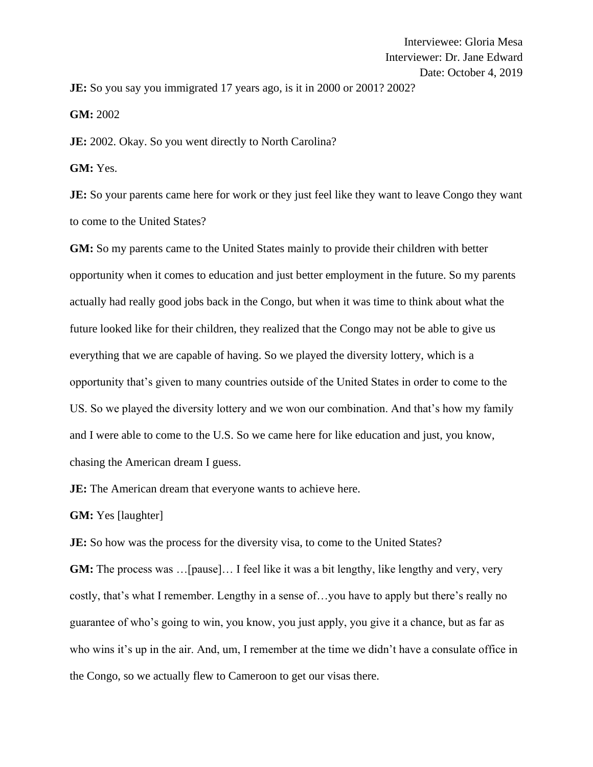**JE:** So you say you immigrated 17 years ago, is it in 2000 or 2001? 2002?

**GM:** 2002

**JE:** 2002. Okay. So you went directly to North Carolina?

**GM:** Yes.

**JE:** So your parents came here for work or they just feel like they want to leave Congo they want to come to the United States?

**GM:** So my parents came to the United States mainly to provide their children with better opportunity when it comes to education and just better employment in the future. So my parents actually had really good jobs back in the Congo, but when it was time to think about what the future looked like for their children, they realized that the Congo may not be able to give us everything that we are capable of having. So we played the diversity lottery, which is a opportunity that's given to many countries outside of the United States in order to come to the US. So we played the diversity lottery and we won our combination. And that's how my family and I were able to come to the U.S. So we came here for like education and just, you know, chasing the American dream I guess.

**JE:** The American dream that everyone wants to achieve here.

**GM:** Yes [laughter]

**JE:** So how was the process for the diversity visa, to come to the United States?

**GM:** The process was ... [pause]... I feel like it was a bit lengthy, like lengthy and very, very costly, that's what I remember. Lengthy in a sense of…you have to apply but there's really no guarantee of who's going to win, you know, you just apply, you give it a chance, but as far as who wins it's up in the air. And, um, I remember at the time we didn't have a consulate office in the Congo, so we actually flew to Cameroon to get our visas there.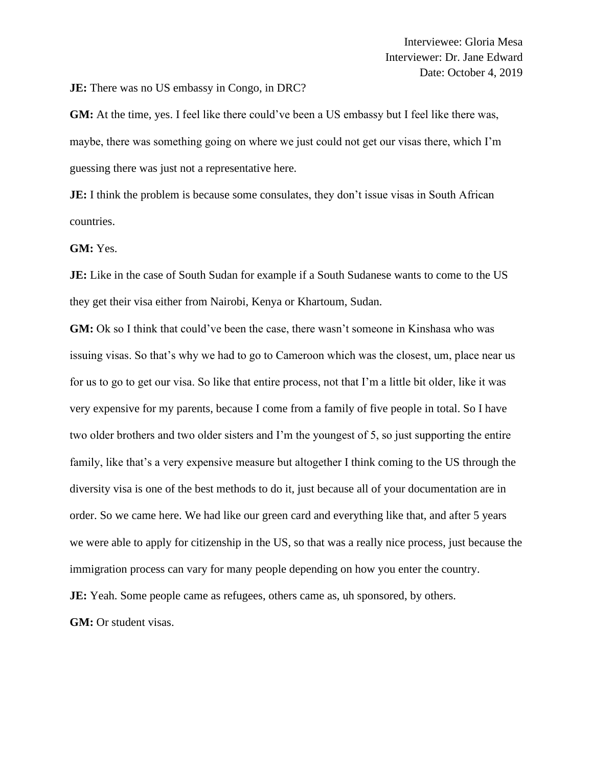**JE:** There was no US embassy in Congo, in DRC?

**GM:** At the time, yes. I feel like there could've been a US embassy but I feel like there was, maybe, there was something going on where we just could not get our visas there, which I'm guessing there was just not a representative here.

**JE:** I think the problem is because some consulates, they don't issue visas in South African countries.

## **GM:** Yes.

**JE:** Like in the case of South Sudan for example if a South Sudanese wants to come to the US they get their visa either from Nairobi, Kenya or Khartoum, Sudan.

**GM:** Ok so I think that could've been the case, there wasn't someone in Kinshasa who was issuing visas. So that's why we had to go to Cameroon which was the closest, um, place near us for us to go to get our visa. So like that entire process, not that I'm a little bit older, like it was very expensive for my parents, because I come from a family of five people in total. So I have two older brothers and two older sisters and I'm the youngest of 5, so just supporting the entire family, like that's a very expensive measure but altogether I think coming to the US through the diversity visa is one of the best methods to do it, just because all of your documentation are in order. So we came here. We had like our green card and everything like that, and after 5 years we were able to apply for citizenship in the US, so that was a really nice process, just because the immigration process can vary for many people depending on how you enter the country. **JE:** Yeah. Some people came as refugees, others came as, uh sponsored, by others. **GM:** Or student visas.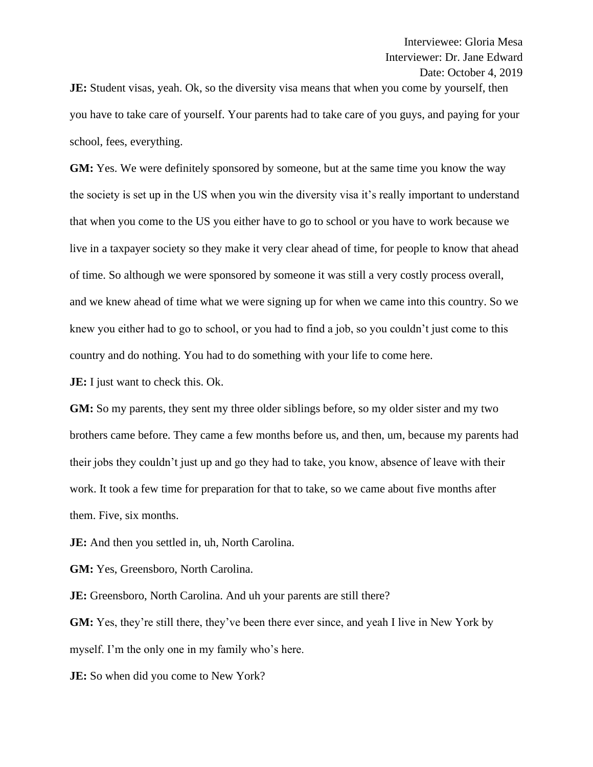**JE:** Student visas, yeah. Ok, so the diversity visa means that when you come by yourself, then you have to take care of yourself. Your parents had to take care of you guys, and paying for your school, fees, everything.

**GM:** Yes. We were definitely sponsored by someone, but at the same time you know the way the society is set up in the US when you win the diversity visa it's really important to understand that when you come to the US you either have to go to school or you have to work because we live in a taxpayer society so they make it very clear ahead of time, for people to know that ahead of time. So although we were sponsored by someone it was still a very costly process overall, and we knew ahead of time what we were signing up for when we came into this country. So we knew you either had to go to school, or you had to find a job, so you couldn't just come to this country and do nothing. You had to do something with your life to come here.

**JE:** I just want to check this. Ok.

**GM:** So my parents, they sent my three older siblings before, so my older sister and my two brothers came before. They came a few months before us, and then, um, because my parents had their jobs they couldn't just up and go they had to take, you know, absence of leave with their work. It took a few time for preparation for that to take, so we came about five months after them. Five, six months.

**JE:** And then you settled in, uh, North Carolina.

**GM:** Yes, Greensboro, North Carolina.

**JE:** Greensboro, North Carolina. And uh your parents are still there?

**GM:** Yes, they're still there, they've been there ever since, and yeah I live in New York by myself. I'm the only one in my family who's here.

**JE:** So when did you come to New York?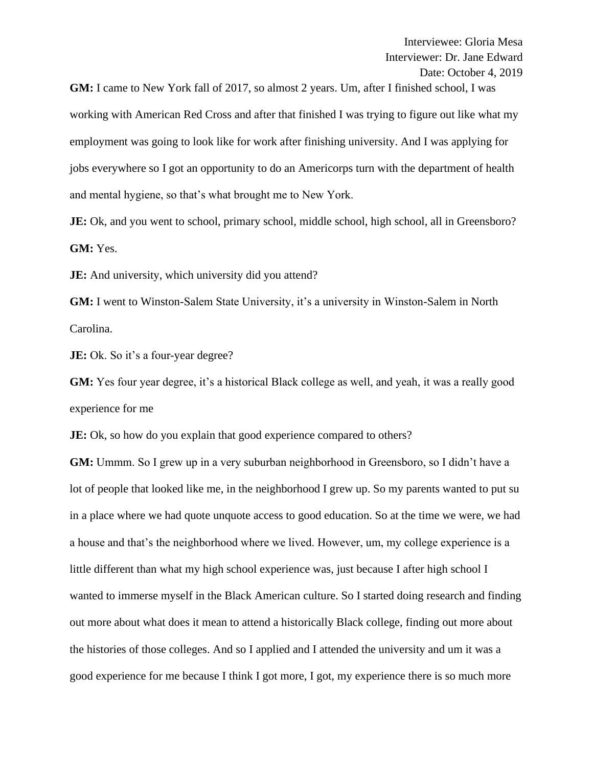**GM:** I came to New York fall of 2017, so almost 2 years. Um, after I finished school, I was working with American Red Cross and after that finished I was trying to figure out like what my employment was going to look like for work after finishing university. And I was applying for jobs everywhere so I got an opportunity to do an Americorps turn with the department of health and mental hygiene, so that's what brought me to New York.

**JE:** Ok, and you went to school, primary school, middle school, high school, all in Greensboro? **GM:** Yes.

**JE:** And university, which university did you attend?

**GM:** I went to Winston-Salem State University, it's a university in Winston-Salem in North Carolina.

**JE:** Ok. So it's a four-year degree?

**GM:** Yes four year degree, it's a historical Black college as well, and yeah, it was a really good experience for me

**JE:** Ok, so how do you explain that good experience compared to others?

**GM:** Ummm. So I grew up in a very suburban neighborhood in Greensboro, so I didn't have a lot of people that looked like me, in the neighborhood I grew up. So my parents wanted to put su in a place where we had quote unquote access to good education. So at the time we were, we had a house and that's the neighborhood where we lived. However, um, my college experience is a little different than what my high school experience was, just because I after high school I wanted to immerse myself in the Black American culture. So I started doing research and finding out more about what does it mean to attend a historically Black college, finding out more about the histories of those colleges. And so I applied and I attended the university and um it was a good experience for me because I think I got more, I got, my experience there is so much more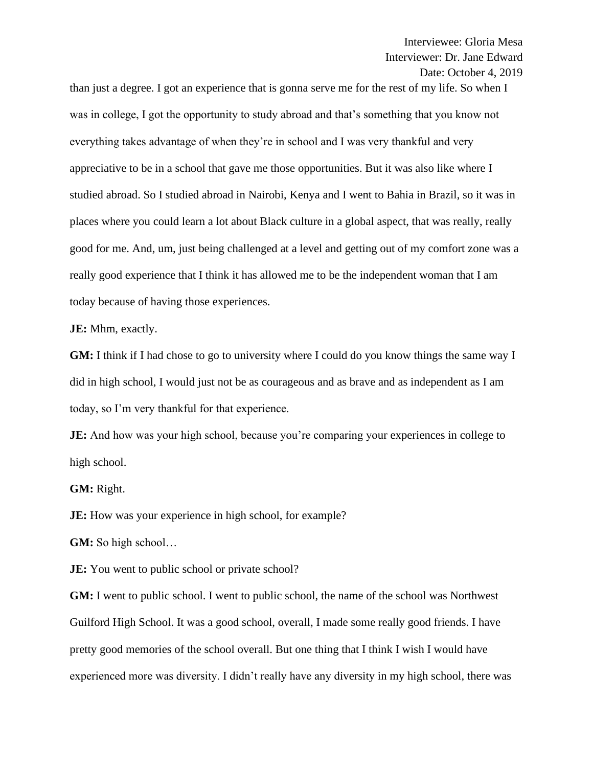than just a degree. I got an experience that is gonna serve me for the rest of my life. So when I was in college, I got the opportunity to study abroad and that's something that you know not everything takes advantage of when they're in school and I was very thankful and very appreciative to be in a school that gave me those opportunities. But it was also like where I studied abroad. So I studied abroad in Nairobi, Kenya and I went to Bahia in Brazil, so it was in places where you could learn a lot about Black culture in a global aspect, that was really, really good for me. And, um, just being challenged at a level and getting out of my comfort zone was a really good experience that I think it has allowed me to be the independent woman that I am today because of having those experiences.

**JE:** Mhm, exactly.

**GM:** I think if I had chose to go to university where I could do you know things the same way I did in high school, I would just not be as courageous and as brave and as independent as I am today, so I'm very thankful for that experience.

**JE:** And how was your high school, because you're comparing your experiences in college to high school.

**GM:** Right.

**JE:** How was your experience in high school, for example?

**GM:** So high school…

**JE:** You went to public school or private school?

**GM:** I went to public school. I went to public school, the name of the school was Northwest Guilford High School. It was a good school, overall, I made some really good friends. I have pretty good memories of the school overall. But one thing that I think I wish I would have experienced more was diversity. I didn't really have any diversity in my high school, there was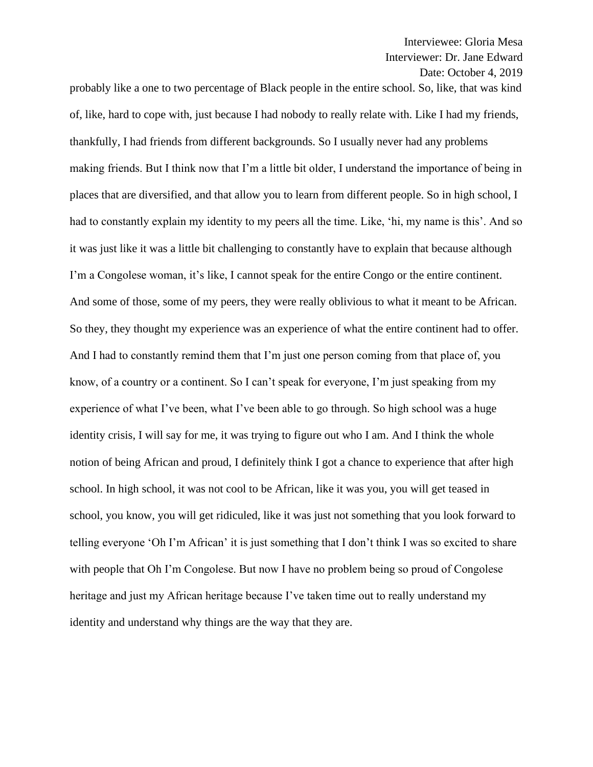probably like a one to two percentage of Black people in the entire school. So, like, that was kind of, like, hard to cope with, just because I had nobody to really relate with. Like I had my friends, thankfully, I had friends from different backgrounds. So I usually never had any problems making friends. But I think now that I'm a little bit older, I understand the importance of being in places that are diversified, and that allow you to learn from different people. So in high school, I had to constantly explain my identity to my peers all the time. Like, 'hi, my name is this'. And so it was just like it was a little bit challenging to constantly have to explain that because although I'm a Congolese woman, it's like, I cannot speak for the entire Congo or the entire continent. And some of those, some of my peers, they were really oblivious to what it meant to be African. So they, they thought my experience was an experience of what the entire continent had to offer. And I had to constantly remind them that I'm just one person coming from that place of, you know, of a country or a continent. So I can't speak for everyone, I'm just speaking from my experience of what I've been, what I've been able to go through. So high school was a huge identity crisis, I will say for me, it was trying to figure out who I am. And I think the whole notion of being African and proud, I definitely think I got a chance to experience that after high school. In high school, it was not cool to be African, like it was you, you will get teased in school, you know, you will get ridiculed, like it was just not something that you look forward to telling everyone 'Oh I'm African' it is just something that I don't think I was so excited to share with people that Oh I'm Congolese. But now I have no problem being so proud of Congolese heritage and just my African heritage because I've taken time out to really understand my identity and understand why things are the way that they are.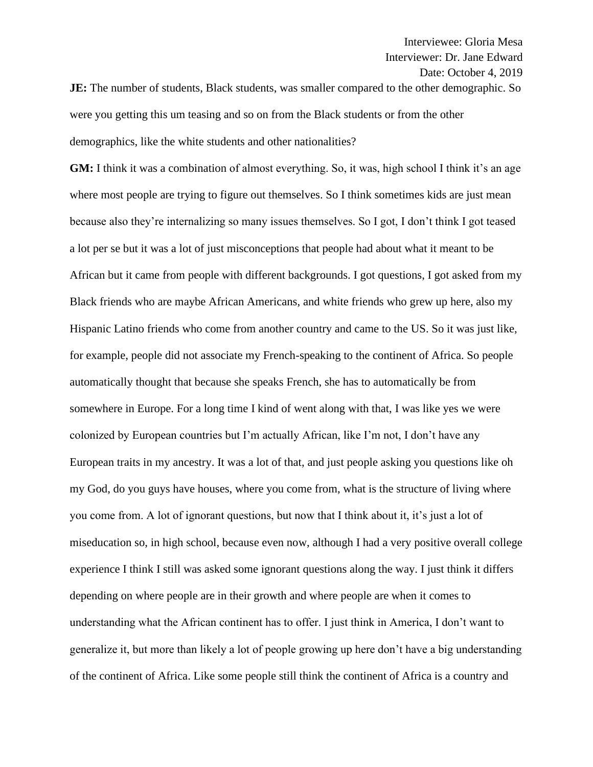**JE:** The number of students, Black students, was smaller compared to the other demographic. So were you getting this um teasing and so on from the Black students or from the other demographics, like the white students and other nationalities?

**GM:** I think it was a combination of almost everything. So, it was, high school I think it's an age where most people are trying to figure out themselves. So I think sometimes kids are just mean because also they're internalizing so many issues themselves. So I got, I don't think I got teased a lot per se but it was a lot of just misconceptions that people had about what it meant to be African but it came from people with different backgrounds. I got questions, I got asked from my Black friends who are maybe African Americans, and white friends who grew up here, also my Hispanic Latino friends who come from another country and came to the US. So it was just like, for example, people did not associate my French-speaking to the continent of Africa. So people automatically thought that because she speaks French, she has to automatically be from somewhere in Europe. For a long time I kind of went along with that, I was like yes we were colonized by European countries but I'm actually African, like I'm not, I don't have any European traits in my ancestry. It was a lot of that, and just people asking you questions like oh my God, do you guys have houses, where you come from, what is the structure of living where you come from. A lot of ignorant questions, but now that I think about it, it's just a lot of miseducation so, in high school, because even now, although I had a very positive overall college experience I think I still was asked some ignorant questions along the way. I just think it differs depending on where people are in their growth and where people are when it comes to understanding what the African continent has to offer. I just think in America, I don't want to generalize it, but more than likely a lot of people growing up here don't have a big understanding of the continent of Africa. Like some people still think the continent of Africa is a country and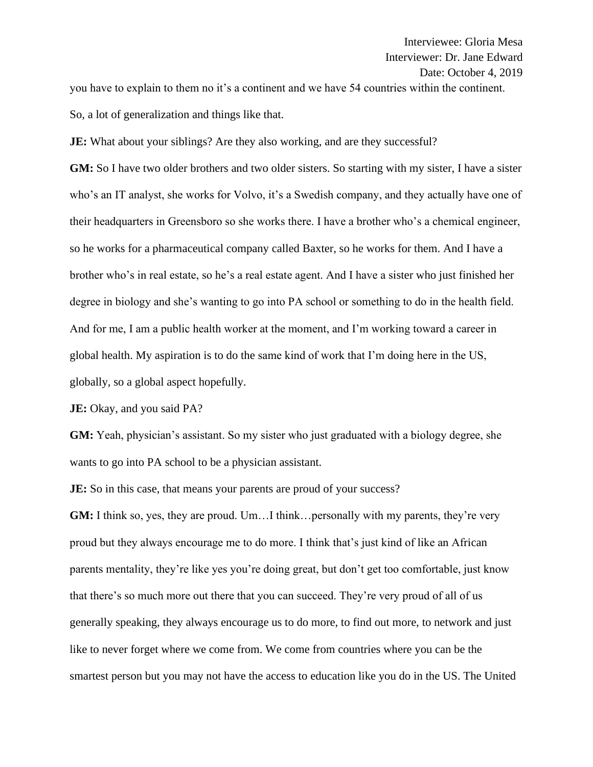you have to explain to them no it's a continent and we have 54 countries within the continent. So, a lot of generalization and things like that.

**JE:** What about your siblings? Are they also working, and are they successful?

**GM:** So I have two older brothers and two older sisters. So starting with my sister, I have a sister who's an IT analyst, she works for Volvo, it's a Swedish company, and they actually have one of their headquarters in Greensboro so she works there. I have a brother who's a chemical engineer, so he works for a pharmaceutical company called Baxter, so he works for them. And I have a brother who's in real estate, so he's a real estate agent. And I have a sister who just finished her degree in biology and she's wanting to go into PA school or something to do in the health field. And for me, I am a public health worker at the moment, and I'm working toward a career in global health. My aspiration is to do the same kind of work that I'm doing here in the US, globally, so a global aspect hopefully.

**JE:** Okay, and you said PA?

**GM:** Yeah, physician's assistant. So my sister who just graduated with a biology degree, she wants to go into PA school to be a physician assistant.

**JE:** So in this case, that means your parents are proud of your success?

**GM:** I think so, yes, they are proud. Um...I think... personally with my parents, they're very proud but they always encourage me to do more. I think that's just kind of like an African parents mentality, they're like yes you're doing great, but don't get too comfortable, just know that there's so much more out there that you can succeed. They're very proud of all of us generally speaking, they always encourage us to do more, to find out more, to network and just like to never forget where we come from. We come from countries where you can be the smartest person but you may not have the access to education like you do in the US. The United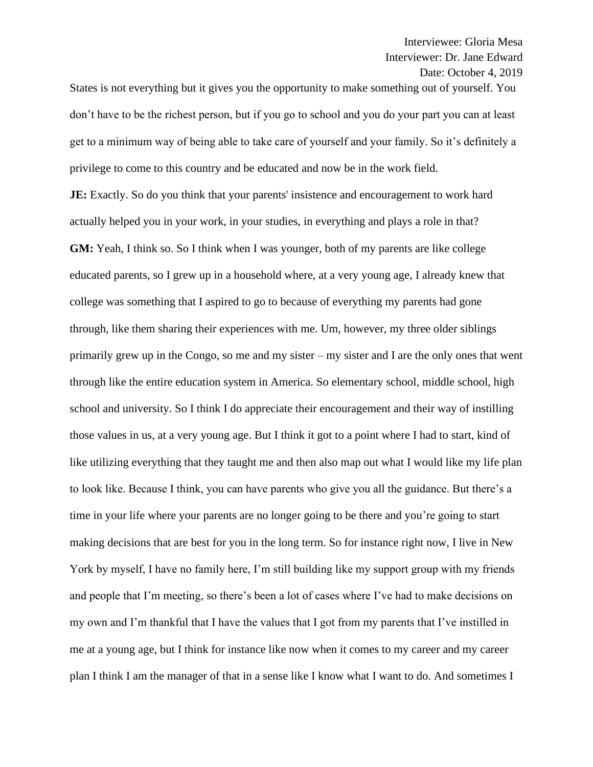States is not everything but it gives you the opportunity to make something out of yourself. You don't have to be the richest person, but if you go to school and you do your part you can at least get to a minimum way of being able to take care of yourself and your family. So it's definitely a privilege to come to this country and be educated and now be in the work field.

**JE:** Exactly. So do you think that your parents' insistence and encouragement to work hard actually helped you in your work, in your studies, in everything and plays a role in that? **GM:** Yeah, I think so. So I think when I was younger, both of my parents are like college educated parents, so I grew up in a household where, at a very young age, I already knew that college was something that I aspired to go to because of everything my parents had gone through, like them sharing their experiences with me. Um, however, my three older siblings primarily grew up in the Congo, so me and my sister – my sister and I are the only ones that went through like the entire education system in America. So elementary school, middle school, high school and university. So I think I do appreciate their encouragement and their way of instilling those values in us, at a very young age. But I think it got to a point where I had to start, kind of like utilizing everything that they taught me and then also map out what I would like my life plan to look like. Because I think, you can have parents who give you all the guidance. But there's a time in your life where your parents are no longer going to be there and you're going to start making decisions that are best for you in the long term. So for instance right now, I live in New York by myself, I have no family here, I'm still building like my support group with my friends and people that I'm meeting, so there's been a lot of cases where I've had to make decisions on my own and I'm thankful that I have the values that I got from my parents that I've instilled in me at a young age, but I think for instance like now when it comes to my career and my career plan I think I am the manager of that in a sense like I know what I want to do. And sometimes I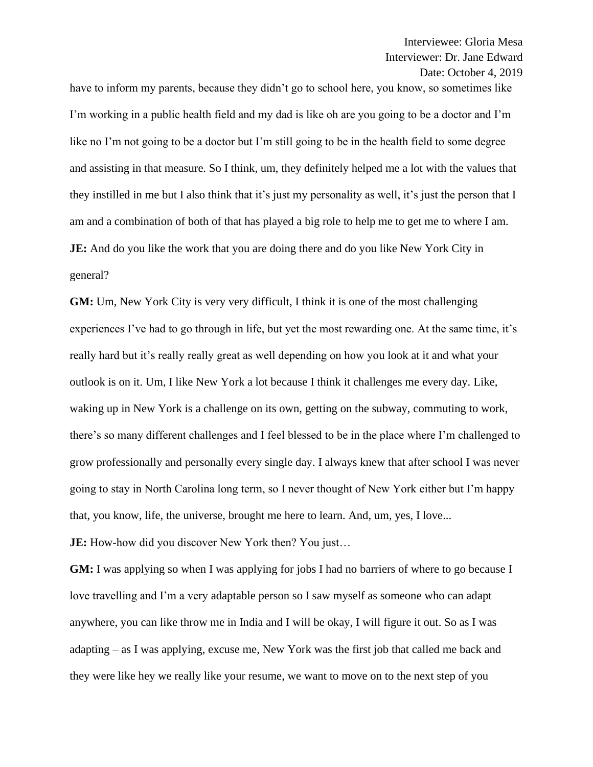have to inform my parents, because they didn't go to school here, you know, so sometimes like I'm working in a public health field and my dad is like oh are you going to be a doctor and I'm like no I'm not going to be a doctor but I'm still going to be in the health field to some degree and assisting in that measure. So I think, um, they definitely helped me a lot with the values that they instilled in me but I also think that it's just my personality as well, it's just the person that I am and a combination of both of that has played a big role to help me to get me to where I am. **JE:** And do you like the work that you are doing there and do you like New York City in general?

**GM:** Um, New York City is very very difficult, I think it is one of the most challenging experiences I've had to go through in life, but yet the most rewarding one. At the same time, it's really hard but it's really really great as well depending on how you look at it and what your outlook is on it. Um, I like New York a lot because I think it challenges me every day. Like, waking up in New York is a challenge on its own, getting on the subway, commuting to work, there's so many different challenges and I feel blessed to be in the place where I'm challenged to grow professionally and personally every single day. I always knew that after school I was never going to stay in North Carolina long term, so I never thought of New York either but I'm happy that, you know, life, the universe, brought me here to learn. And, um, yes, I love...

**JE:** How-how did you discover New York then? You just...

**GM:** I was applying so when I was applying for jobs I had no barriers of where to go because I love travelling and I'm a very adaptable person so I saw myself as someone who can adapt anywhere, you can like throw me in India and I will be okay, I will figure it out. So as I was adapting – as I was applying, excuse me, New York was the first job that called me back and they were like hey we really like your resume, we want to move on to the next step of you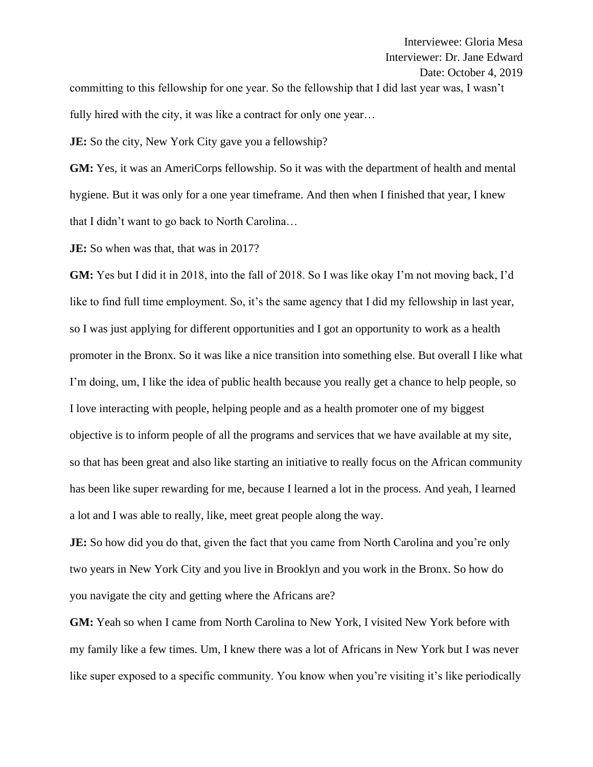committing to this fellowship for one year. So the fellowship that I did last year was, I wasn't fully hired with the city, it was like a contract for only one year...

**JE:** So the city, New York City gave you a fellowship?

**GM:** Yes, it was an AmeriCorps fellowship. So it was with the department of health and mental hygiene. But it was only for a one year timeframe. And then when I finished that year, I knew that I didn't want to go back to North Carolina…

**JE:** So when was that, that was in 2017?

**GM:** Yes but I did it in 2018, into the fall of 2018. So I was like okay I'm not moving back, I'd like to find full time employment. So, it's the same agency that I did my fellowship in last year, so I was just applying for different opportunities and I got an opportunity to work as a health promoter in the Bronx. So it was like a nice transition into something else. But overall I like what I'm doing, um, I like the idea of public health because you really get a chance to help people, so I love interacting with people, helping people and as a health promoter one of my biggest objective is to inform people of all the programs and services that we have available at my site, so that has been great and also like starting an initiative to really focus on the African community has been like super rewarding for me, because I learned a lot in the process. And yeah, I learned a lot and I was able to really, like, meet great people along the way.

**JE:** So how did you do that, given the fact that you came from North Carolina and you're only two years in New York City and you live in Brooklyn and you work in the Bronx. So how do you navigate the city and getting where the Africans are?

**GM:** Yeah so when I came from North Carolina to New York, I visited New York before with my family like a few times. Um, I knew there was a lot of Africans in New York but I was never like super exposed to a specific community. You know when you're visiting it's like periodically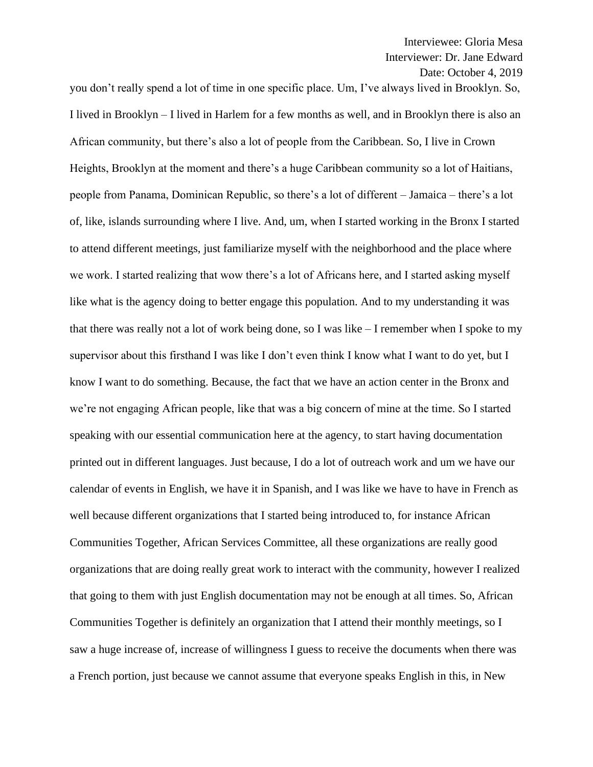you don't really spend a lot of time in one specific place. Um, I've always lived in Brooklyn. So, I lived in Brooklyn – I lived in Harlem for a few months as well, and in Brooklyn there is also an African community, but there's also a lot of people from the Caribbean. So, I live in Crown Heights, Brooklyn at the moment and there's a huge Caribbean community so a lot of Haitians, people from Panama, Dominican Republic, so there's a lot of different – Jamaica – there's a lot of, like, islands surrounding where I live. And, um, when I started working in the Bronx I started to attend different meetings, just familiarize myself with the neighborhood and the place where we work. I started realizing that wow there's a lot of Africans here, and I started asking myself like what is the agency doing to better engage this population. And to my understanding it was that there was really not a lot of work being done, so I was like – I remember when I spoke to my supervisor about this firsthand I was like I don't even think I know what I want to do yet, but I know I want to do something. Because, the fact that we have an action center in the Bronx and we're not engaging African people, like that was a big concern of mine at the time. So I started speaking with our essential communication here at the agency, to start having documentation printed out in different languages. Just because, I do a lot of outreach work and um we have our calendar of events in English, we have it in Spanish, and I was like we have to have in French as well because different organizations that I started being introduced to, for instance African Communities Together, African Services Committee, all these organizations are really good organizations that are doing really great work to interact with the community, however I realized that going to them with just English documentation may not be enough at all times. So, African Communities Together is definitely an organization that I attend their monthly meetings, so I saw a huge increase of, increase of willingness I guess to receive the documents when there was a French portion, just because we cannot assume that everyone speaks English in this, in New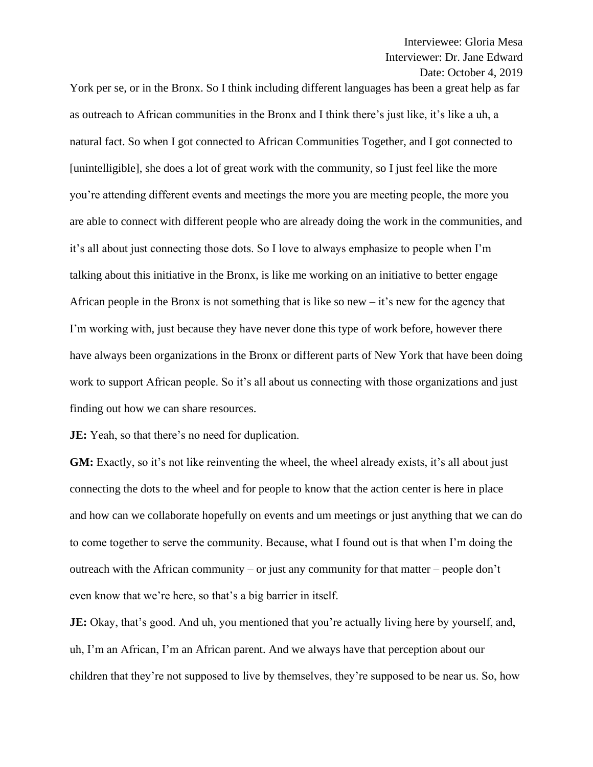York per se, or in the Bronx. So I think including different languages has been a great help as far as outreach to African communities in the Bronx and I think there's just like, it's like a uh, a natural fact. So when I got connected to African Communities Together, and I got connected to [unintelligible], she does a lot of great work with the community, so I just feel like the more you're attending different events and meetings the more you are meeting people, the more you are able to connect with different people who are already doing the work in the communities, and it's all about just connecting those dots. So I love to always emphasize to people when I'm talking about this initiative in the Bronx, is like me working on an initiative to better engage African people in the Bronx is not something that is like so new  $-$  it's new for the agency that I'm working with, just because they have never done this type of work before, however there have always been organizations in the Bronx or different parts of New York that have been doing work to support African people. So it's all about us connecting with those organizations and just finding out how we can share resources.

**JE:** Yeah, so that there's no need for duplication.

**GM:** Exactly, so it's not like reinventing the wheel, the wheel already exists, it's all about just connecting the dots to the wheel and for people to know that the action center is here in place and how can we collaborate hopefully on events and um meetings or just anything that we can do to come together to serve the community. Because, what I found out is that when I'm doing the outreach with the African community – or just any community for that matter – people don't even know that we're here, so that's a big barrier in itself.

**JE:** Okay, that's good. And uh, you mentioned that you're actually living here by yourself, and, uh, I'm an African, I'm an African parent. And we always have that perception about our children that they're not supposed to live by themselves, they're supposed to be near us. So, how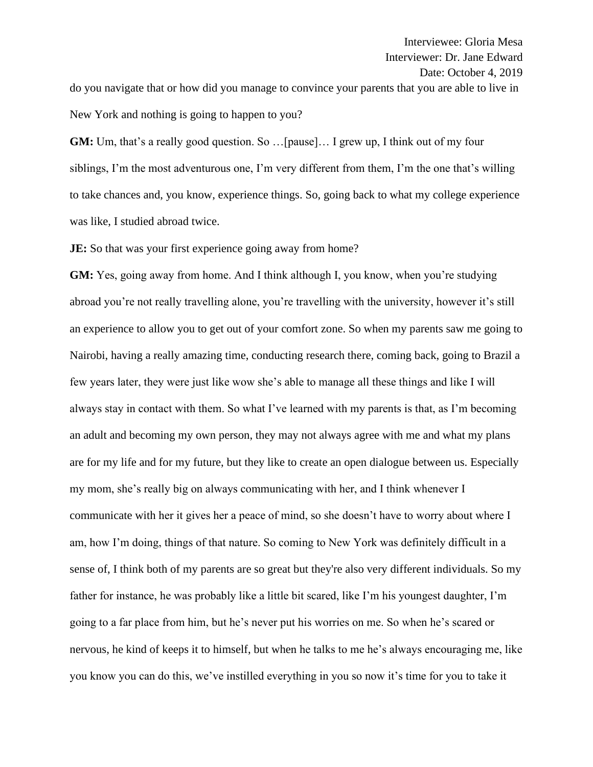do you navigate that or how did you manage to convince your parents that you are able to live in New York and nothing is going to happen to you?

**GM:** Um, that's a really good question. So …[pause]… I grew up, I think out of my four siblings, I'm the most adventurous one, I'm very different from them, I'm the one that's willing to take chances and, you know, experience things. So, going back to what my college experience was like, I studied abroad twice.

**JE:** So that was your first experience going away from home?

**GM:** Yes, going away from home. And I think although I, you know, when you're studying abroad you're not really travelling alone, you're travelling with the university, however it's still an experience to allow you to get out of your comfort zone. So when my parents saw me going to Nairobi, having a really amazing time, conducting research there, coming back, going to Brazil a few years later, they were just like wow she's able to manage all these things and like I will always stay in contact with them. So what I've learned with my parents is that, as I'm becoming an adult and becoming my own person, they may not always agree with me and what my plans are for my life and for my future, but they like to create an open dialogue between us. Especially my mom, she's really big on always communicating with her, and I think whenever I communicate with her it gives her a peace of mind, so she doesn't have to worry about where I am, how I'm doing, things of that nature. So coming to New York was definitely difficult in a sense of, I think both of my parents are so great but they're also very different individuals. So my father for instance, he was probably like a little bit scared, like I'm his youngest daughter, I'm going to a far place from him, but he's never put his worries on me. So when he's scared or nervous, he kind of keeps it to himself, but when he talks to me he's always encouraging me, like you know you can do this, we've instilled everything in you so now it's time for you to take it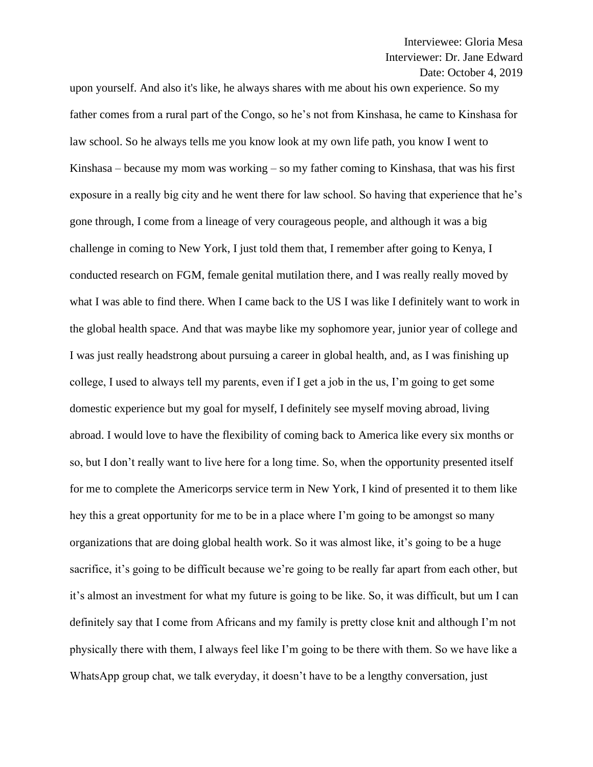upon yourself. And also it's like, he always shares with me about his own experience. So my father comes from a rural part of the Congo, so he's not from Kinshasa, he came to Kinshasa for law school. So he always tells me you know look at my own life path, you know I went to Kinshasa – because my mom was working – so my father coming to Kinshasa, that was his first exposure in a really big city and he went there for law school. So having that experience that he's gone through, I come from a lineage of very courageous people, and although it was a big challenge in coming to New York, I just told them that, I remember after going to Kenya, I conducted research on FGM, female genital mutilation there, and I was really really moved by what I was able to find there. When I came back to the US I was like I definitely want to work in the global health space. And that was maybe like my sophomore year, junior year of college and I was just really headstrong about pursuing a career in global health, and, as I was finishing up college, I used to always tell my parents, even if I get a job in the us, I'm going to get some domestic experience but my goal for myself, I definitely see myself moving abroad, living abroad. I would love to have the flexibility of coming back to America like every six months or so, but I don't really want to live here for a long time. So, when the opportunity presented itself for me to complete the Americorps service term in New York, I kind of presented it to them like hey this a great opportunity for me to be in a place where I'm going to be amongst so many organizations that are doing global health work. So it was almost like, it's going to be a huge sacrifice, it's going to be difficult because we're going to be really far apart from each other, but it's almost an investment for what my future is going to be like. So, it was difficult, but um I can definitely say that I come from Africans and my family is pretty close knit and although I'm not physically there with them, I always feel like I'm going to be there with them. So we have like a WhatsApp group chat, we talk everyday, it doesn't have to be a lengthy conversation, just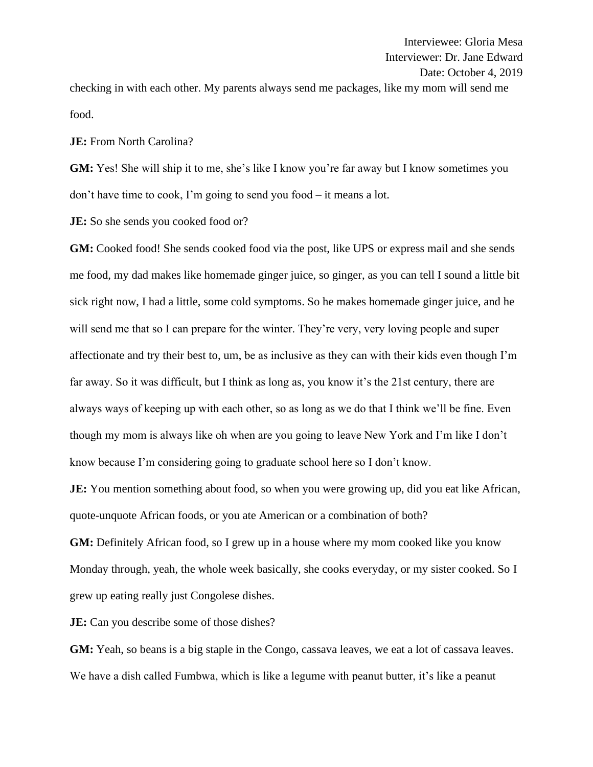checking in with each other. My parents always send me packages, like my mom will send me food.

**JE:** From North Carolina?

**GM:** Yes! She will ship it to me, she's like I know you're far away but I know sometimes you don't have time to cook, I'm going to send you food – it means a lot.

**JE:** So she sends you cooked food or?

**GM:** Cooked food! She sends cooked food via the post, like UPS or express mail and she sends me food, my dad makes like homemade ginger juice, so ginger, as you can tell I sound a little bit sick right now, I had a little, some cold symptoms. So he makes homemade ginger juice, and he will send me that so I can prepare for the winter. They're very, very loving people and super affectionate and try their best to, um, be as inclusive as they can with their kids even though I'm far away. So it was difficult, but I think as long as, you know it's the 21st century, there are always ways of keeping up with each other, so as long as we do that I think we'll be fine. Even though my mom is always like oh when are you going to leave New York and I'm like I don't know because I'm considering going to graduate school here so I don't know.

**JE:** You mention something about food, so when you were growing up, did you eat like African, quote-unquote African foods, or you ate American or a combination of both?

**GM:** Definitely African food, so I grew up in a house where my mom cooked like you know Monday through, yeah, the whole week basically, she cooks everyday, or my sister cooked. So I grew up eating really just Congolese dishes.

**JE:** Can you describe some of those dishes?

GM: Yeah, so beans is a big staple in the Congo, cassava leaves, we eat a lot of cassava leaves. We have a dish called Fumbwa, which is like a legume with peanut butter, it's like a peanut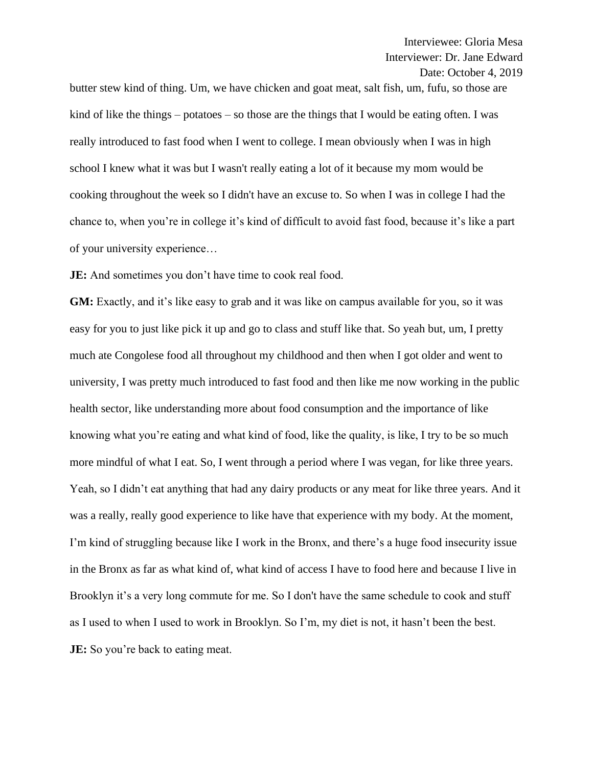butter stew kind of thing. Um, we have chicken and goat meat, salt fish, um, fufu, so those are kind of like the things – potatoes – so those are the things that I would be eating often. I was really introduced to fast food when I went to college. I mean obviously when I was in high school I knew what it was but I wasn't really eating a lot of it because my mom would be cooking throughout the week so I didn't have an excuse to. So when I was in college I had the chance to, when you're in college it's kind of difficult to avoid fast food, because it's like a part of your university experience…

**JE:** And sometimes you don't have time to cook real food.

**GM:** Exactly, and it's like easy to grab and it was like on campus available for you, so it was easy for you to just like pick it up and go to class and stuff like that. So yeah but, um, I pretty much ate Congolese food all throughout my childhood and then when I got older and went to university, I was pretty much introduced to fast food and then like me now working in the public health sector, like understanding more about food consumption and the importance of like knowing what you're eating and what kind of food, like the quality, is like, I try to be so much more mindful of what I eat. So, I went through a period where I was vegan, for like three years. Yeah, so I didn't eat anything that had any dairy products or any meat for like three years. And it was a really, really good experience to like have that experience with my body. At the moment, I'm kind of struggling because like I work in the Bronx, and there's a huge food insecurity issue in the Bronx as far as what kind of, what kind of access I have to food here and because I live in Brooklyn it's a very long commute for me. So I don't have the same schedule to cook and stuff as I used to when I used to work in Brooklyn. So I'm, my diet is not, it hasn't been the best. **JE:** So you're back to eating meat.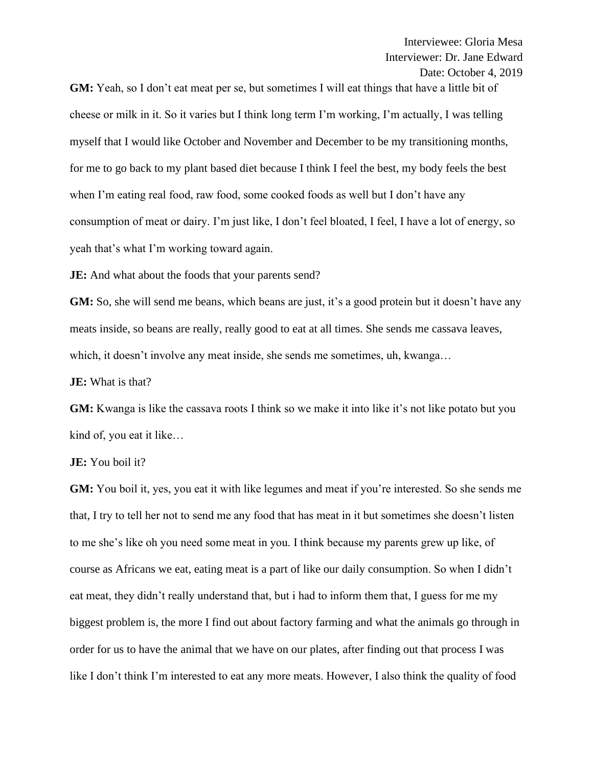**GM:** Yeah, so I don't eat meat per se, but sometimes I will eat things that have a little bit of cheese or milk in it. So it varies but I think long term I'm working, I'm actually, I was telling myself that I would like October and November and December to be my transitioning months, for me to go back to my plant based diet because I think I feel the best, my body feels the best when I'm eating real food, raw food, some cooked foods as well but I don't have any consumption of meat or dairy. I'm just like, I don't feel bloated, I feel, I have a lot of energy, so yeah that's what I'm working toward again.

**JE:** And what about the foods that your parents send?

**GM:** So, she will send me beans, which beans are just, it's a good protein but it doesn't have any meats inside, so beans are really, really good to eat at all times. She sends me cassava leaves, which, it doesn't involve any meat inside, she sends me sometimes, uh, kwanga…

**JE:** What is that?

**GM:** Kwanga is like the cassava roots I think so we make it into like it's not like potato but you kind of, you eat it like…

**JE:** You boil it?

**GM:** You boil it, yes, you eat it with like legumes and meat if you're interested. So she sends me that, I try to tell her not to send me any food that has meat in it but sometimes she doesn't listen to me she's like oh you need some meat in you. I think because my parents grew up like, of course as Africans we eat, eating meat is a part of like our daily consumption. So when I didn't eat meat, they didn't really understand that, but i had to inform them that, I guess for me my biggest problem is, the more I find out about factory farming and what the animals go through in order for us to have the animal that we have on our plates, after finding out that process I was like I don't think I'm interested to eat any more meats. However, I also think the quality of food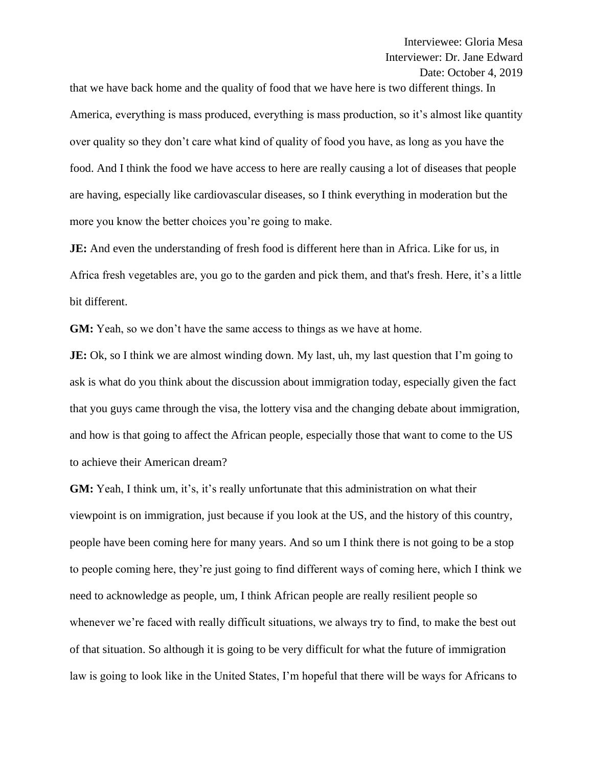that we have back home and the quality of food that we have here is two different things. In America, everything is mass produced, everything is mass production, so it's almost like quantity over quality so they don't care what kind of quality of food you have, as long as you have the food. And I think the food we have access to here are really causing a lot of diseases that people are having, especially like cardiovascular diseases, so I think everything in moderation but the more you know the better choices you're going to make.

**JE:** And even the understanding of fresh food is different here than in Africa. Like for us, in Africa fresh vegetables are, you go to the garden and pick them, and that's fresh. Here, it's a little bit different.

**GM:** Yeah, so we don't have the same access to things as we have at home.

**JE:** Ok, so I think we are almost winding down. My last, uh, my last question that I'm going to ask is what do you think about the discussion about immigration today, especially given the fact that you guys came through the visa, the lottery visa and the changing debate about immigration, and how is that going to affect the African people, especially those that want to come to the US to achieve their American dream?

**GM:** Yeah, I think um, it's, it's really unfortunate that this administration on what their viewpoint is on immigration, just because if you look at the US, and the history of this country, people have been coming here for many years. And so um I think there is not going to be a stop to people coming here, they're just going to find different ways of coming here, which I think we need to acknowledge as people, um, I think African people are really resilient people so whenever we're faced with really difficult situations, we always try to find, to make the best out of that situation. So although it is going to be very difficult for what the future of immigration law is going to look like in the United States, I'm hopeful that there will be ways for Africans to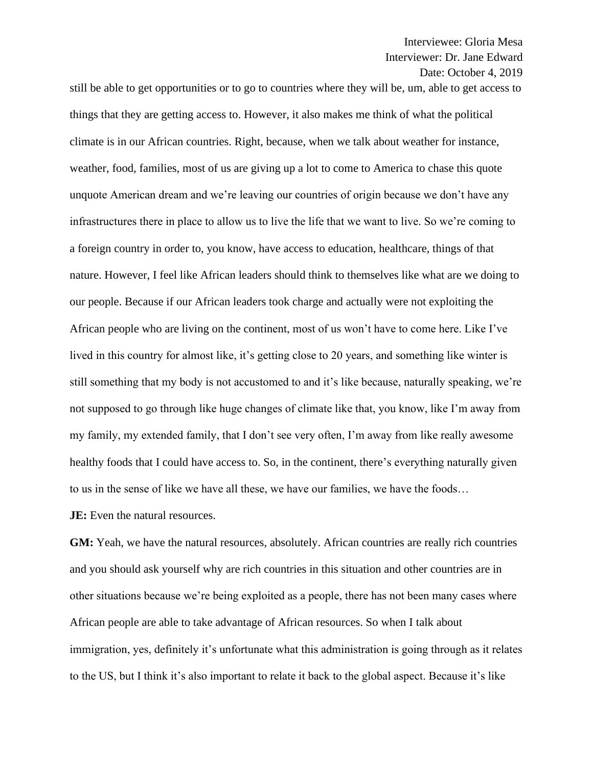still be able to get opportunities or to go to countries where they will be, um, able to get access to things that they are getting access to. However, it also makes me think of what the political climate is in our African countries. Right, because, when we talk about weather for instance, weather, food, families, most of us are giving up a lot to come to America to chase this quote unquote American dream and we're leaving our countries of origin because we don't have any infrastructures there in place to allow us to live the life that we want to live. So we're coming to a foreign country in order to, you know, have access to education, healthcare, things of that nature. However, I feel like African leaders should think to themselves like what are we doing to our people. Because if our African leaders took charge and actually were not exploiting the African people who are living on the continent, most of us won't have to come here. Like I've lived in this country for almost like, it's getting close to 20 years, and something like winter is still something that my body is not accustomed to and it's like because, naturally speaking, we're not supposed to go through like huge changes of climate like that, you know, like I'm away from my family, my extended family, that I don't see very often, I'm away from like really awesome healthy foods that I could have access to. So, in the continent, there's everything naturally given to us in the sense of like we have all these, we have our families, we have the foods…

**JE:** Even the natural resources.

**GM:** Yeah, we have the natural resources, absolutely. African countries are really rich countries and you should ask yourself why are rich countries in this situation and other countries are in other situations because we're being exploited as a people, there has not been many cases where African people are able to take advantage of African resources. So when I talk about immigration, yes, definitely it's unfortunate what this administration is going through as it relates to the US, but I think it's also important to relate it back to the global aspect. Because it's like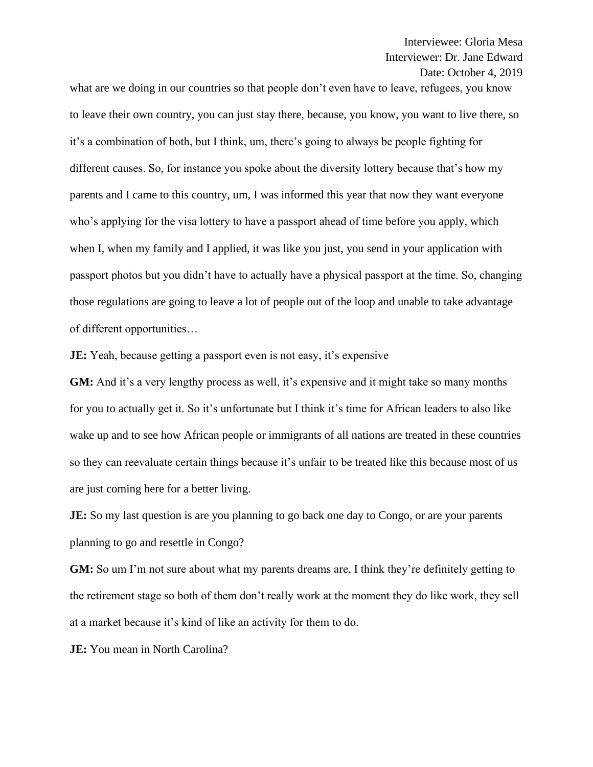what are we doing in our countries so that people don't even have to leave, refugees, you know to leave their own country, you can just stay there, because, you know, you want to live there, so it's a combination of both, but I think, um, there's going to always be people fighting for different causes. So, for instance you spoke about the diversity lottery because that's how my parents and I came to this country, um, I was informed this year that now they want everyone who's applying for the visa lottery to have a passport ahead of time before you apply, which when I, when my family and I applied, it was like you just, you send in your application with passport photos but you didn't have to actually have a physical passport at the time. So, changing those regulations are going to leave a lot of people out of the loop and unable to take advantage of different opportunities…

**JE:** Yeah, because getting a passport even is not easy, it's expensive

**GM:** And it's a very lengthy process as well, it's expensive and it might take so many months for you to actually get it. So it's unfortunate but I think it's time for African leaders to also like wake up and to see how African people or immigrants of all nations are treated in these countries so they can reevaluate certain things because it's unfair to be treated like this because most of us are just coming here for a better living.

**JE:** So my last question is are you planning to go back one day to Congo, or are your parents planning to go and resettle in Congo?

**GM:** So um I'm not sure about what my parents dreams are, I think they're definitely getting to the retirement stage so both of them don't really work at the moment they do like work, they sell at a market because it's kind of like an activity for them to do.

**JE:** You mean in North Carolina?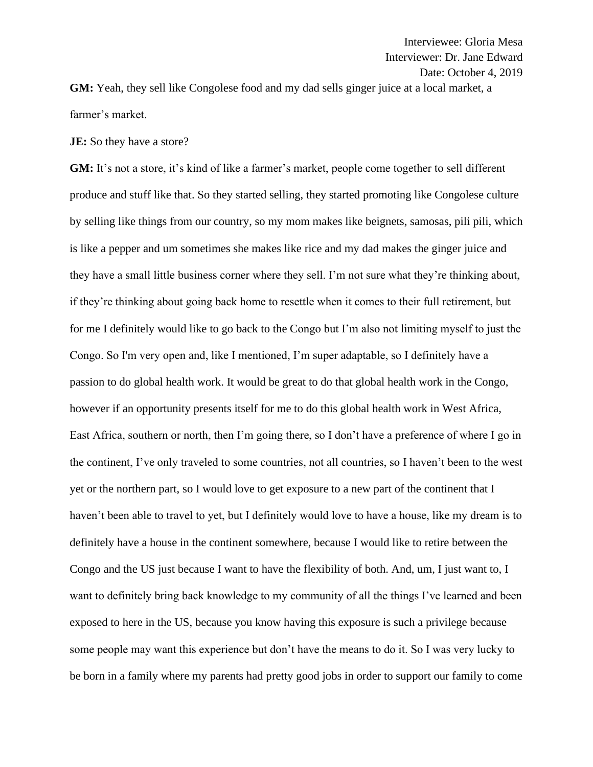**GM:** Yeah, they sell like Congolese food and my dad sells ginger juice at a local market, a farmer's market.

**JE:** So they have a store?

**GM:** It's not a store, it's kind of like a farmer's market, people come together to sell different produce and stuff like that. So they started selling, they started promoting like Congolese culture by selling like things from our country, so my mom makes like beignets, samosas, pili pili, which is like a pepper and um sometimes she makes like rice and my dad makes the ginger juice and they have a small little business corner where they sell. I'm not sure what they're thinking about, if they're thinking about going back home to resettle when it comes to their full retirement, but for me I definitely would like to go back to the Congo but I'm also not limiting myself to just the Congo. So I'm very open and, like I mentioned, I'm super adaptable, so I definitely have a passion to do global health work. It would be great to do that global health work in the Congo, however if an opportunity presents itself for me to do this global health work in West Africa, East Africa, southern or north, then I'm going there, so I don't have a preference of where I go in the continent, I've only traveled to some countries, not all countries, so I haven't been to the west yet or the northern part, so I would love to get exposure to a new part of the continent that I haven't been able to travel to yet, but I definitely would love to have a house, like my dream is to definitely have a house in the continent somewhere, because I would like to retire between the Congo and the US just because I want to have the flexibility of both. And, um, I just want to, I want to definitely bring back knowledge to my community of all the things I've learned and been exposed to here in the US, because you know having this exposure is such a privilege because some people may want this experience but don't have the means to do it. So I was very lucky to be born in a family where my parents had pretty good jobs in order to support our family to come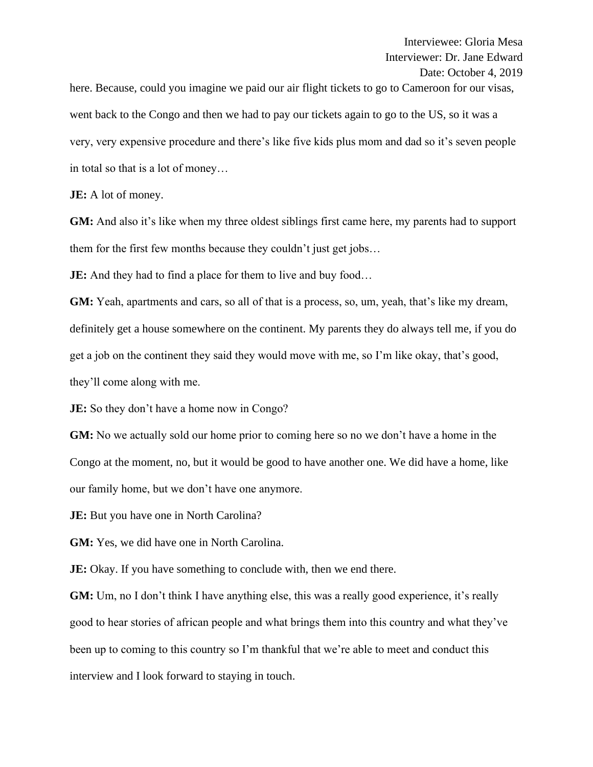here. Because, could you imagine we paid our air flight tickets to go to Cameroon for our visas, went back to the Congo and then we had to pay our tickets again to go to the US, so it was a very, very expensive procedure and there's like five kids plus mom and dad so it's seven people in total so that is a lot of money…

**JE:** A lot of money.

**GM:** And also it's like when my three oldest siblings first came here, my parents had to support them for the first few months because they couldn't just get jobs…

**JE:** And they had to find a place for them to live and buy food...

**GM:** Yeah, apartments and cars, so all of that is a process, so, um, yeah, that's like my dream, definitely get a house somewhere on the continent. My parents they do always tell me, if you do get a job on the continent they said they would move with me, so I'm like okay, that's good, they'll come along with me.

**JE:** So they don't have a home now in Congo?

**GM:** No we actually sold our home prior to coming here so no we don't have a home in the Congo at the moment, no, but it would be good to have another one. We did have a home, like our family home, but we don't have one anymore.

**JE:** But you have one in North Carolina?

**GM:** Yes, we did have one in North Carolina.

**JE:** Okay. If you have something to conclude with, then we end there.

**GM:** Um, no I don't think I have anything else, this was a really good experience, it's really good to hear stories of african people and what brings them into this country and what they've been up to coming to this country so I'm thankful that we're able to meet and conduct this interview and I look forward to staying in touch.